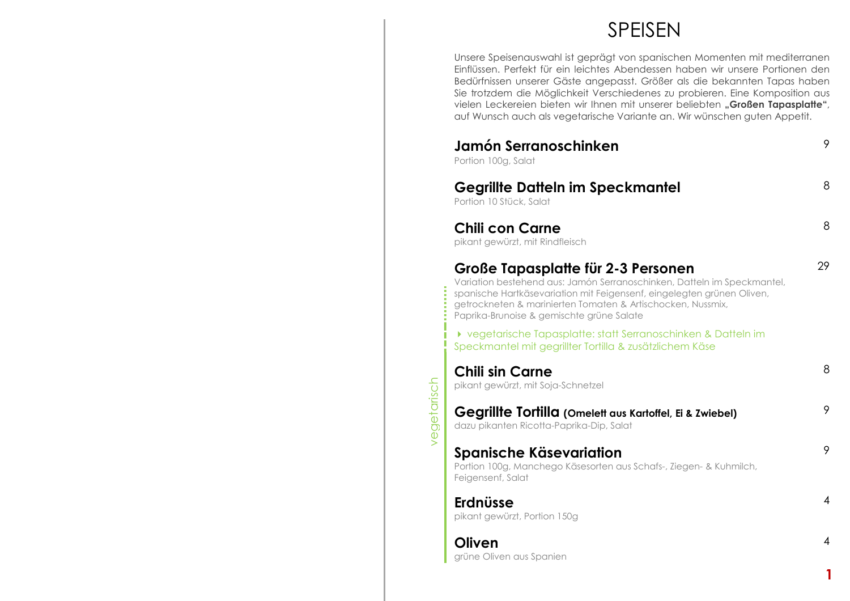## SPEISEN

 Unsere Speisenauswahl ist geprägt von spanischen Momenten mit mediterranen Einflüssen. Perfekt für ein leichtes Abendessen haben wir unsere Portionen den Bedürfnissen unserer Gäste angepasst. Größer als die bekannten Tapas haben Sie trotzdem die Möglichkeit Verschiedenes zu probieren. Eine Komposition aus vielen Leckereien bieten wir Ihnen mit unserer beliebten "Großen Tapasplatte", auf Wunsch auch als vegetarische Variante an. Wir wünschen guten Appetit.

|             | Jamón Serranoschinken<br>Portion 100g, Salat                                                                                                                                                                                                                                                        | 9  |
|-------------|-----------------------------------------------------------------------------------------------------------------------------------------------------------------------------------------------------------------------------------------------------------------------------------------------------|----|
|             | <b>Gegrillte Datteln im Speckmantel</b><br>Portion 10 Stück, Salat                                                                                                                                                                                                                                  | 8  |
|             | <b>Chili con Carne</b><br>pikant gewürzt, mit Rindfleisch                                                                                                                                                                                                                                           | 8  |
|             | Große Tapasplatte für 2-3 Personen<br>Variation bestehend aus: Jamón Serranoschinken, Datteln im Speckmantel,<br>spanische Hartkäsevariation mit Feigensenf, eingelegten grünen Oliven,<br>getrockneten & marinierten Tomaten & Artischocken, Nussmix,<br>Paprika-Brunoise & gemischte grüne Salate | 29 |
|             | ▶ vegetarische Tapasplatte: statt Serranoschinken & Datteln im<br>Speckmantel mit gegrillter Tortilla & zusätzlichem Käse                                                                                                                                                                           |    |
|             | <b>Chili sin Carne</b><br>pikant gewürzt, mit Soja-Schnetzel                                                                                                                                                                                                                                        | 8  |
| vegetarisch | Gegrillte Tortilla (Omelett aus Kartoffel, Ei & Zwiebel)<br>dazu pikanten Ricotta-Paprika-Dip, Salat                                                                                                                                                                                                | 9  |
|             | Spanische Käsevariation<br>Portion 100g, Manchego Käsesorten aus Schafs-, Ziegen- & Kuhmilch,<br>Feigensenf, Salat                                                                                                                                                                                  | 9  |
|             | <b>Erdnüsse</b><br>pikant gewürzt, Portion 150g                                                                                                                                                                                                                                                     | 4  |
|             | Oliven<br>grüne Oliven aus Spanien                                                                                                                                                                                                                                                                  | 4  |
|             |                                                                                                                                                                                                                                                                                                     |    |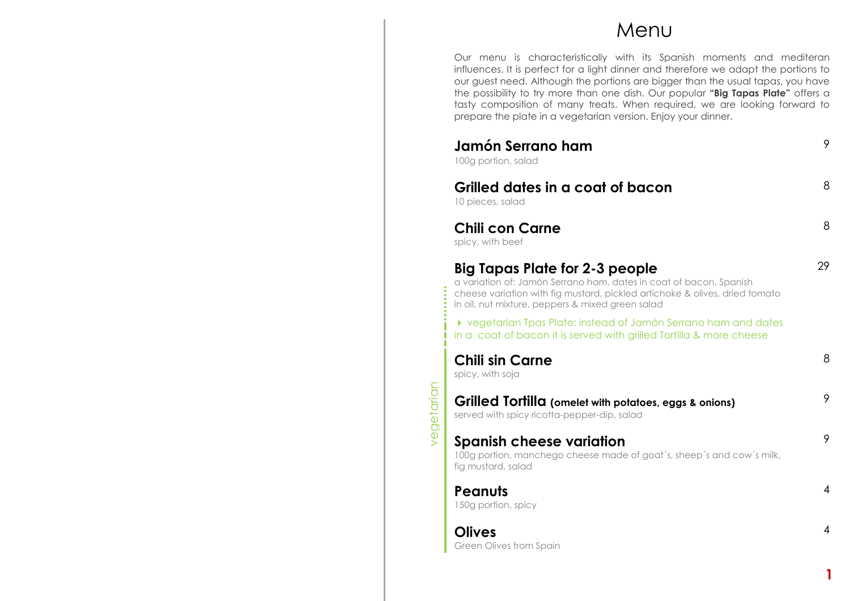### Menu

Our menu is characteristically with its Spanish moments and mediteran influences. It is perfect for a light dinner and therefore we adapt the portions to our guest need. Although the portions are bigger than the usual tapas, you have the possibility to try more than one dish. Our popular **"Big Tapas Plate"** offers a tasty composition of many treats. When required, we are looking forward to prepare the plate in a vegetarian version. Enjoy your dinner.

| Jamón Serrano ham<br>100g portion, salad                                                                                                                                                                                                | 9              |
|-----------------------------------------------------------------------------------------------------------------------------------------------------------------------------------------------------------------------------------------|----------------|
| Grilled dates in a coat of bacon<br>10 pieces, salad                                                                                                                                                                                    | 8              |
| <b>Chili con Carne</b><br>spicy, with beef                                                                                                                                                                                              | 8              |
| Big Tapas Plate for 2-3 people<br>a variation of: Jamón Serrano ham, dates in coat of bacon, Spanish<br>cheese variation with fig mustard, pickled artichoke & olives, dried tomato<br>in oil, nut mixture, peppers & mixed green salad | 29             |
| ▶ vegetarian Tpas Plate: instead of Jamón Serrano ham and dates<br>in a coat of bacon it is served with grilled Tortilla & more cheese                                                                                                  |                |
| <b>Chili sin Carne</b><br>spicy, with soja                                                                                                                                                                                              | 8              |
| Grilled Tortilla (omelet with potatoes, eggs & onions)<br>served with spicy ricotta-pepper-dip, salad                                                                                                                                   | 9              |
| <b>Spanish cheese variation</b><br>100g portion, manchego cheese made of goat's, sheep's and cow's milk,<br>fig mustard, salad                                                                                                          | 9              |
| <b>Peanuts</b><br>150g portion, spicy                                                                                                                                                                                                   | $\overline{4}$ |
| <b>Olives</b><br>Green Olives from Spain                                                                                                                                                                                                | 4              |
|                                                                                                                                                                                                                                         |                |

**1**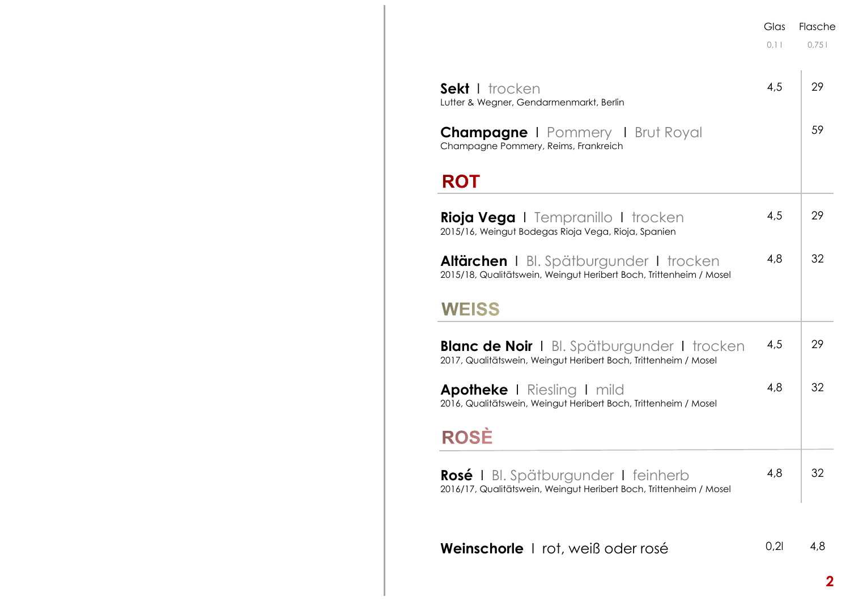|                                                                                                                       | Glas<br>0.11 | Flasche<br>0.751 |
|-----------------------------------------------------------------------------------------------------------------------|--------------|------------------|
| Sekt I trocken<br>Lutter & Wegner, Gendarmenmarkt, Berlin                                                             | 4,5          | 29               |
| <b>Champagne I</b> Pommery <b>I</b> Brut Royal<br>Champagne Pommery, Reims, Frankreich                                |              | 59               |
| <b>ROT</b>                                                                                                            |              |                  |
| <b>Rioja Vega</b> I Tempranillo I trocken<br>2015/16, Weingut Bodegas Rioja Vega, Rioja, Spanien                      | 4,5          | 29               |
| <b>Altärchen</b> I Bl. Spätburgunder I trocken<br>2015/18, Qualitätswein, Weingut Heribert Boch, Trittenheim / Mosel  | 4,8          | 32               |
| <b>WEISS</b>                                                                                                          |              |                  |
| <b>Blanc de Noir</b>   Bl. Spätburgunder   trocken<br>2017, Qualitätswein, Weingut Heribert Boch, Trittenheim / Mosel | 4,5          | 29               |
| <b>Apotheke</b> I Riesling I mild<br>2016, Qualitätswein, Weingut Heribert Boch, Trittenheim / Mosel                  | 4,8          | 32               |
| <b>ROSĖ</b>                                                                                                           |              |                  |
| <b>Rosé</b> I Bl. Spätburgunder I feinherb<br>2016/17, Qualitätswein, Weingut Heribert Boch, Trittenheim / Mosel      | 4,8          | 32               |
| <b>Weinschorle</b>   rot, weiß oder rosé                                                                              | 0,21         | 4,8              |
|                                                                                                                       |              |                  |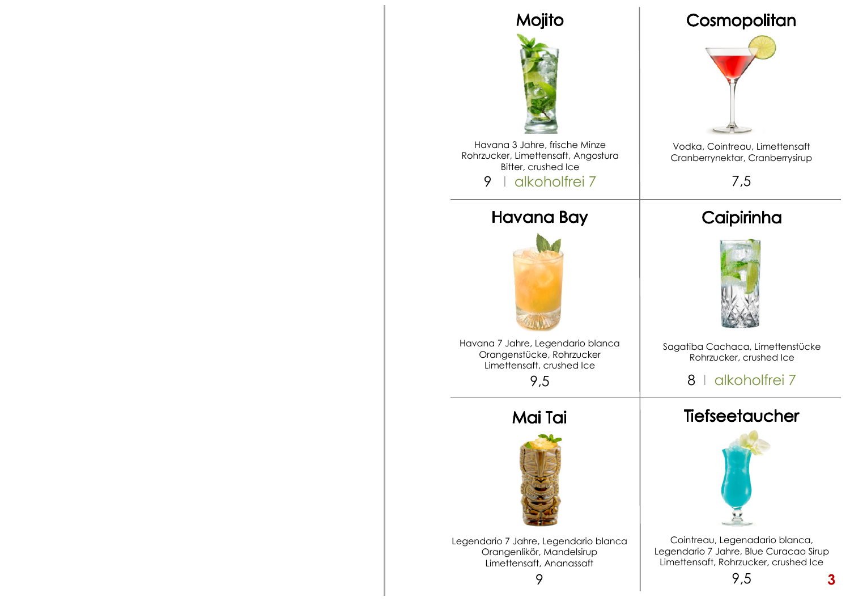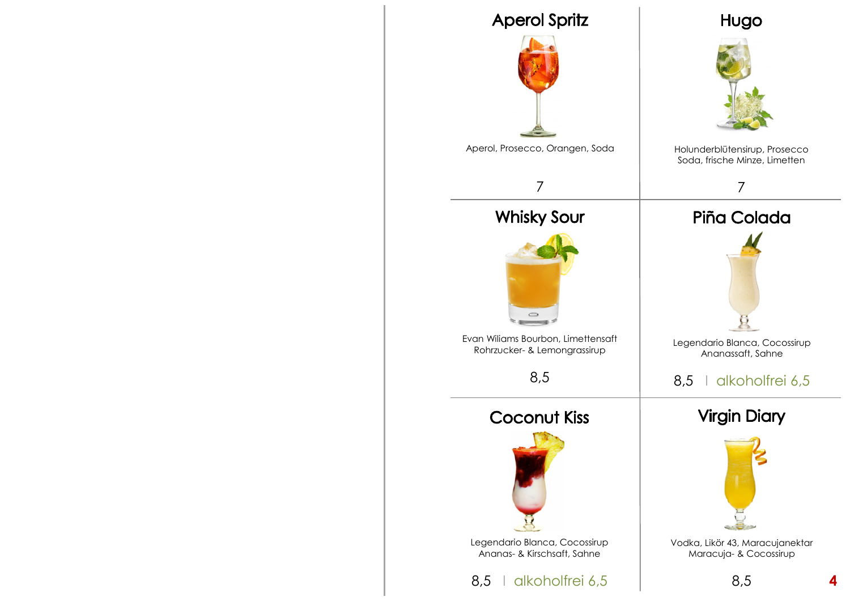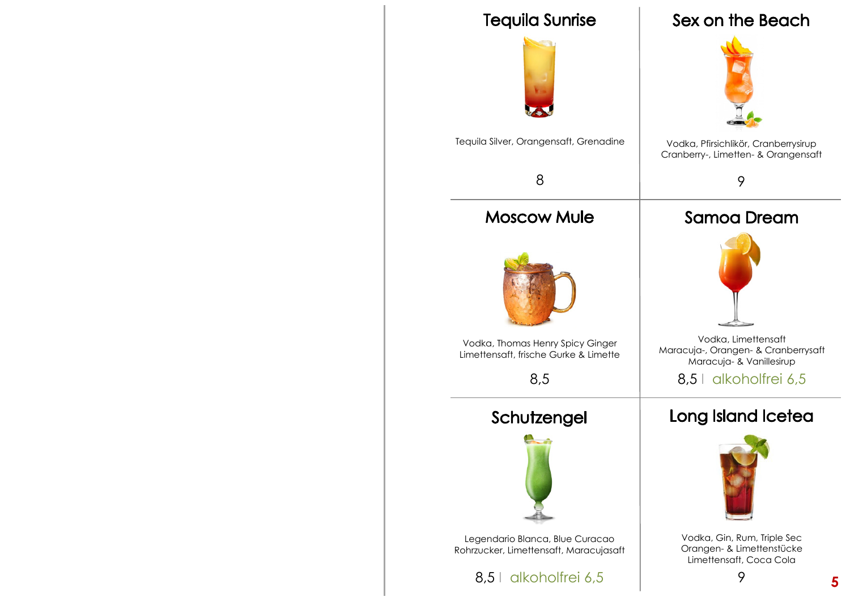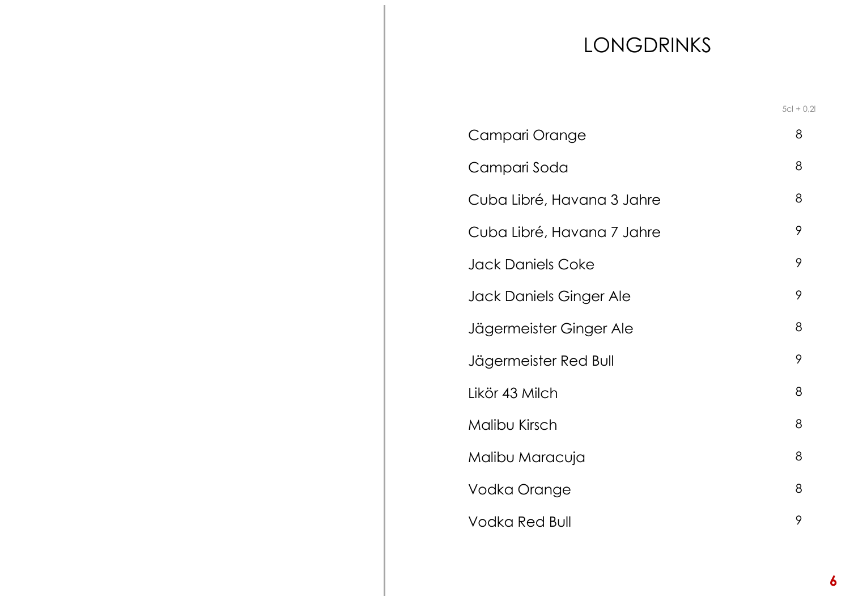# LONGDRINKS

|                            | $5cl + 0.2l$ |
|----------------------------|--------------|
| Campari Orange             | 8            |
| Campari Soda               | 8            |
| Cuba Libré, Havana 3 Jahre | 8            |
| Cuba Libré, Havana 7 Jahre | 9            |
| Jack Daniels Coke          | 9            |
| Jack Daniels Ginger Ale    | 9            |
| Jägermeister Ginger Ale    | 8            |
| Jägermeister Red Bull      | 9            |
| Likör 43 Milch             | 8            |
| Malibu Kirsch              | 8            |
| Malibu Maracuja            | 8            |
| Vodka Orange               | 8            |
| Vodka Red Bull             | 9            |
|                            |              |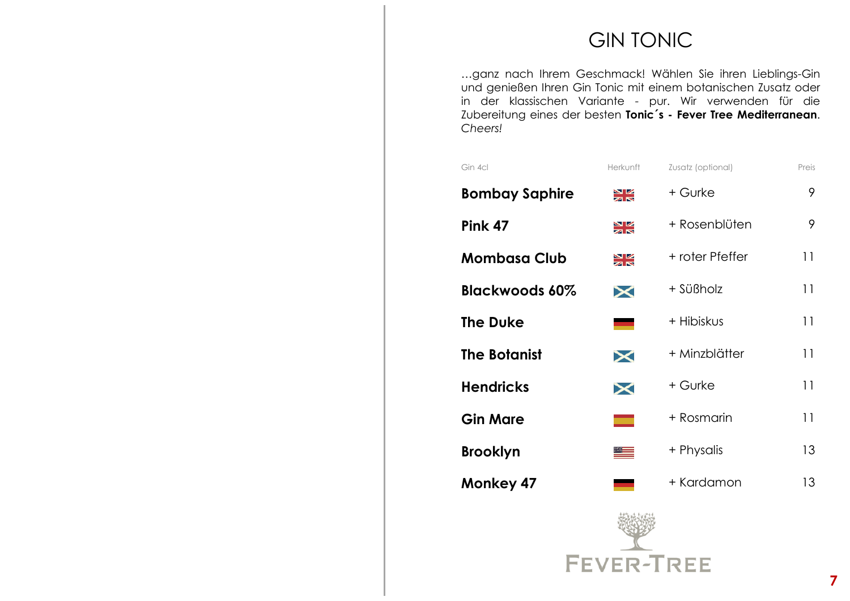## GIN TONIC

…ganz nach Ihrem Geschmack! Wählen Sie ihren Lieblings-Gin und genießen Ihren Gin Tonic mit einem botanischen Zusatz oder in der klassischen Variante - pur. Wir verwenden für die Zubereitung eines der besten **Tonic´s - Fever Tree Mediterranean**. *Cheers!*

| Gin 4cl               | Herkunft      | Zusatz (optional) | Preis |
|-----------------------|---------------|-------------------|-------|
| <b>Bombay Saphire</b> | Ж             | + Gurke           | 9     |
| Pink 47               | NK<br>AR      | + Rosenblüten     | 9     |
| <b>Mombasa Club</b>   | Ж             | + roter Pfeffer   | 11    |
| <b>Blackwoods 60%</b> | $\bm{\times}$ | + Süßholz         | 11    |
| <b>The Duke</b>       |               | + Hibiskus        | 11    |
| <b>The Botanist</b>   | $\bm{\times}$ | + Minzblätter     | 11    |
| <b>Hendricks</b>      | $\bm{\times}$ | + Gurke           | 11    |
| <b>Gin Mare</b>       | ┳             | + Rosmarin        | 11    |
| <b>Brooklyn</b>       |               | + Physalis        | 13    |
| <b>Monkey 47</b>      |               | + Kardamon        | 13    |
|                       |               |                   |       |

FEVER-TREE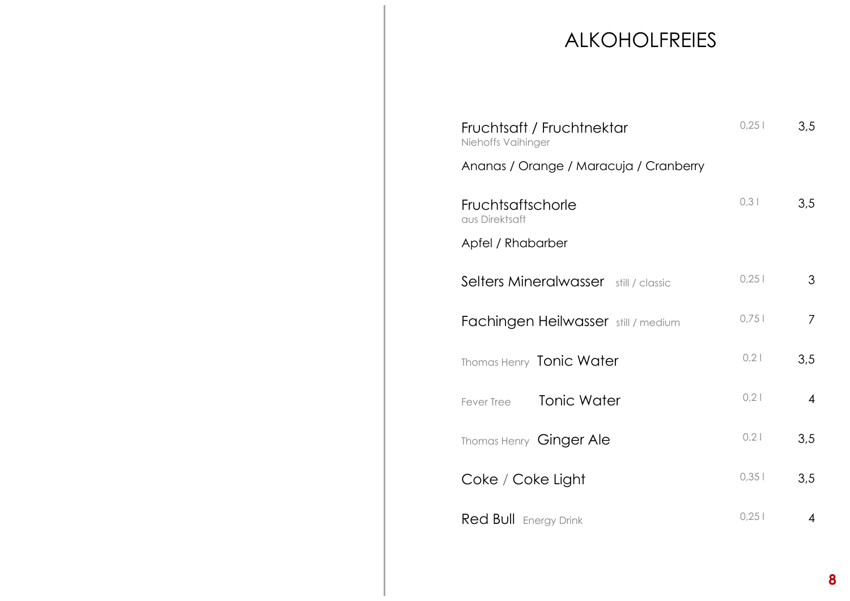## ALKOHOLFREIES

| Fruchtsaft / Fruchtnektar<br>Niehoffs Vaihinger<br>Ananas / Orange / Maracuja / Cranberry | 0,251 | 3,5            |
|-------------------------------------------------------------------------------------------|-------|----------------|
| Fruchtsaftschorle<br>aus Direktsaft<br>Apfel / Rhabarber                                  | 0,31  | 3,5            |
| Selters Mineralwasser still / classic                                                     | 0,251 | 3              |
| <b>Fachingen Heilwasser</b> still / medium                                                | 0,751 | 7              |
| Thomas Henry Tonic Water                                                                  | 0,21  | 3,5            |
| Tonic Water<br>Fever Tree                                                                 | 0,21  | $\overline{4}$ |
| Thomas Henry Ginger Ale                                                                   | 0,21  | 3,5            |
| Coke / Coke Light                                                                         | 0,351 | 3,5            |
| <b>Red Bull</b> Energy Drink                                                              | 0,251 | 4              |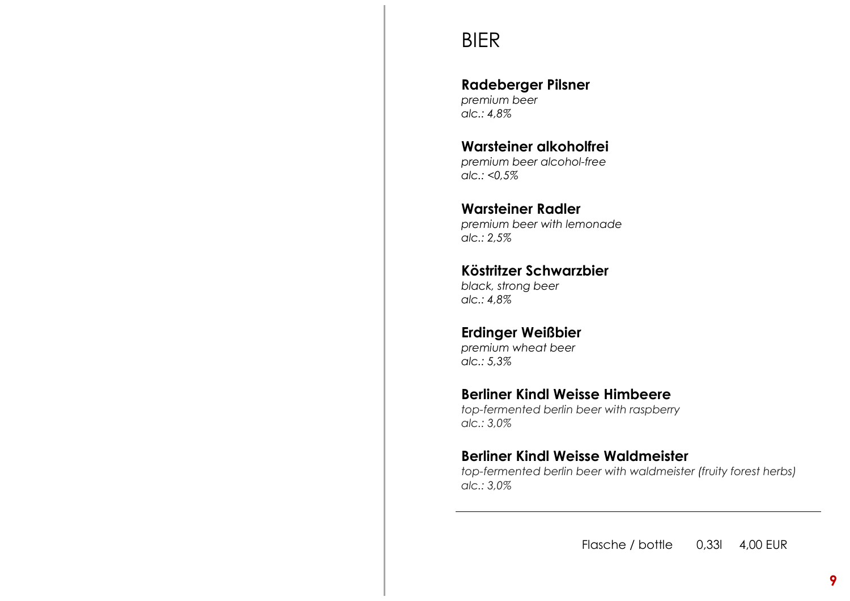## BIER

#### **Radeberger Pilsner**

*premium beer alc.: 4,8%* 

**Warsteiner alkoholfrei** *premium beer alcohol-free alc.: <0,5%* 

#### **Warsteiner Radler**

 *premium beer with lemonade alc.: 2,5%* 

### **Köstritzer Schwarzbier**

*black, strong beer alc.: 4,8%* 

#### **Erdinger Weißbier**

*premium wheat beer alc.: 5,3%* 

#### **Berliner Kindl Weisse Himbeere**

 *top-fermented berlin beer with raspberry alc.: 3,0%* 

#### **Berliner Kindl Weisse Waldmeister**

 *top-fermented berlin beer with waldmeister (fruity forest herbs) alc.: 3,0%*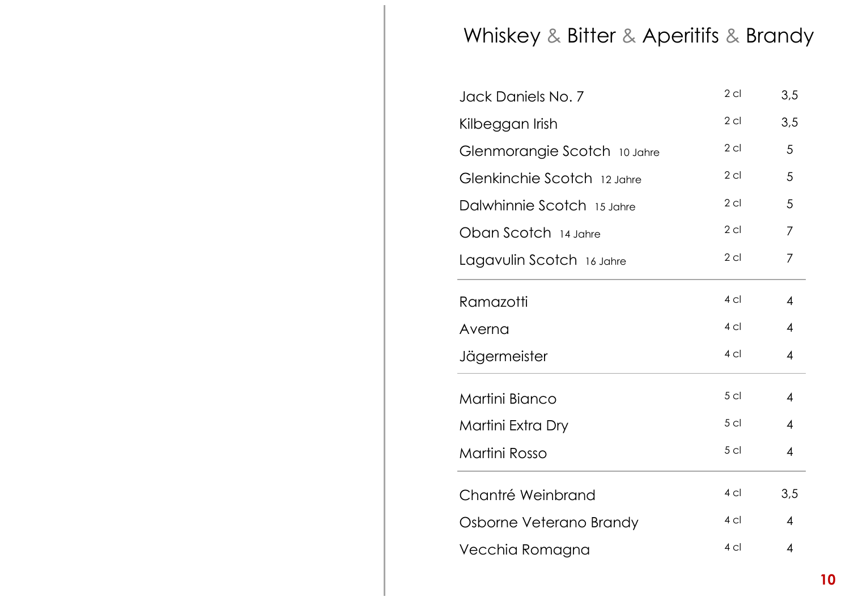## Whiskey & Bitter & Aperitifs & Brandy

| Jack Daniels No. 7           | $2$ cl          | 3,5                      |
|------------------------------|-----------------|--------------------------|
| Kilbeggan Irish              | $2$ cl          | 3,5                      |
| Glenmorangie Scotch 10 Jahre | $2$ cl          | 5                        |
| Glenkinchie Scotch 12 Jahre  | $2$ cl          | 5                        |
| Dalwhinnie Scotch 15 Jahre   | $2$ cl          | 5                        |
| Oban Scotch 14 Jahre         | $2$ cl          | 7                        |
| Lagavulin Scotch 16 Jahre    | $2$ cl          | 7                        |
| Ramazotti                    | 4 <sub>cl</sub> | 4                        |
| Averna                       | 4 <sub>cl</sub> | 4                        |
| Jägermeister                 | 4 <sub>cl</sub> | $\overline{\mathcal{A}}$ |
| Martini Bianco               | 5 <sub>cl</sub> | 4                        |
| Martini Extra Dry            | 5 <sub>cl</sub> | 4                        |
| Martini Rosso                | 5 <sub>cl</sub> | $\overline{\mathcal{A}}$ |
| Chantré Weinbrand            | 4 <sub>cl</sub> | 3,5                      |
| Osborne Veterano Brandy      | 4 <sub>cl</sub> | $\overline{4}$           |
| Vecchia Romagna              | 4 <sub>cl</sub> | $\overline{4}$           |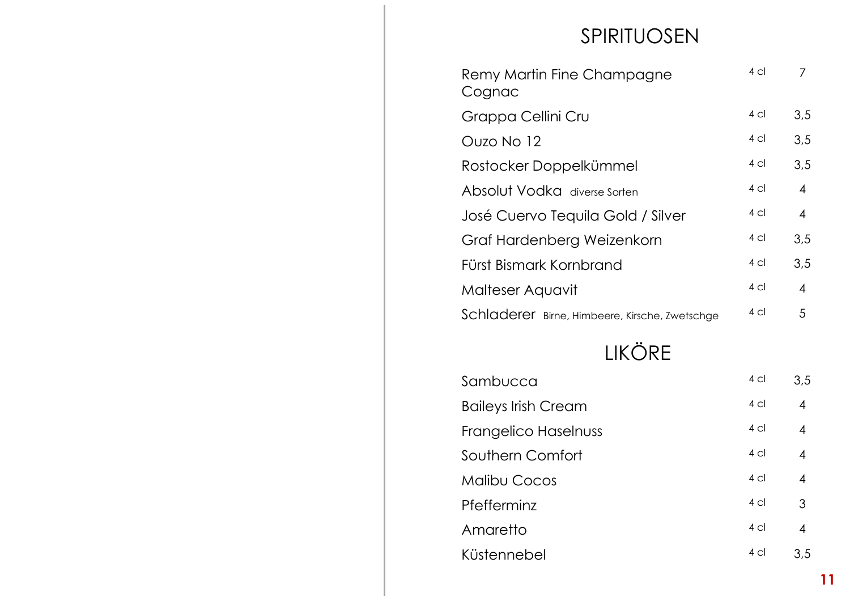## SPIRITUOSEN

| Remy Martin Fine Champagne<br>Cognac           | 4 <sub>cl</sub> |     |
|------------------------------------------------|-----------------|-----|
| Grappa Cellini Cru                             | $4 \text{cl}$   | 3,5 |
| Ouzo No 12                                     | $4 \text{ cl}$  | 3,5 |
| Rostocker Doppelkümmel                         | 4 cl            | 3.5 |
| Absolut Vodka diverse Sorten                   | $4 \text{ cl}$  | 4   |
| José Cuervo Tequila Gold / Silver              | $4 \text{ cl}$  | 4   |
| Graf Hardenberg Weizenkorn                     | 4 cl            | 3,5 |
| Fürst Bismark Kornbrand                        | $4 \text{ cl}$  | 3,5 |
| Malteser Aquavit                               | $4 \text{ cl}$  | 4   |
| Schladerer Birne, Himbeere, Kirsche, Zwetschge | $4 \text{ cl}$  | 5   |

# LIKÖRE

| Sambucca                   | 4 <sub>cl</sub> | 3,5            |
|----------------------------|-----------------|----------------|
| <b>Baileys Irish Cream</b> | $4$ cl          | $\overline{4}$ |
| Frangelico Haselnuss       | $4$ cl          | $\overline{4}$ |
| Southern Comfort           | 4 <sub>cl</sub> | $\overline{4}$ |
| <b>Malibu Cocos</b>        | 4 <sub>cl</sub> | $\overline{4}$ |
| Pfefferminz                | 4 <sub>cl</sub> | 3              |
| Amaretto                   | $4$ cl          | $\overline{4}$ |
| Küstennebel                | 4 <sub>cl</sub> | 3.5            |
|                            |                 |                |